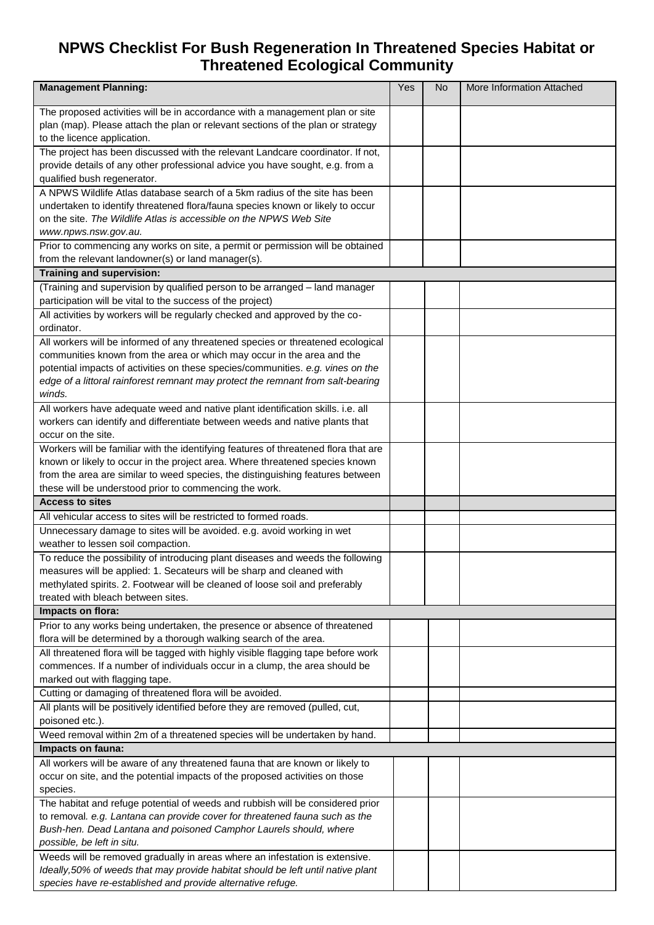## **NPWS Checklist For Bush Regeneration In Threatened Species Habitat or Threatened Ecological Community**

| <b>Management Planning:</b>                                                                                                                                        | Yes | No. | More Information Attached |
|--------------------------------------------------------------------------------------------------------------------------------------------------------------------|-----|-----|---------------------------|
| The proposed activities will be in accordance with a management plan or site                                                                                       |     |     |                           |
| plan (map). Please attach the plan or relevant sections of the plan or strategy                                                                                    |     |     |                           |
| to the licence application.                                                                                                                                        |     |     |                           |
| The project has been discussed with the relevant Landcare coordinator. If not,                                                                                     |     |     |                           |
| provide details of any other professional advice you have sought, e.g. from a                                                                                      |     |     |                           |
| qualified bush regenerator.                                                                                                                                        |     |     |                           |
| A NPWS Wildlife Atlas database search of a 5km radius of the site has been                                                                                         |     |     |                           |
| undertaken to identify threatened flora/fauna species known or likely to occur                                                                                     |     |     |                           |
| on the site. The Wildlife Atlas is accessible on the NPWS Web Site                                                                                                 |     |     |                           |
| www.npws.nsw.gov.au.                                                                                                                                               |     |     |                           |
| Prior to commencing any works on site, a permit or permission will be obtained                                                                                     |     |     |                           |
| from the relevant landowner(s) or land manager(s).                                                                                                                 |     |     |                           |
| Training and supervision:                                                                                                                                          |     |     |                           |
| (Training and supervision by qualified person to be arranged - land manager                                                                                        |     |     |                           |
| participation will be vital to the success of the project)                                                                                                         |     |     |                           |
| All activities by workers will be regularly checked and approved by the co-                                                                                        |     |     |                           |
| ordinator.                                                                                                                                                         |     |     |                           |
| All workers will be informed of any threatened species or threatened ecological                                                                                    |     |     |                           |
| communities known from the area or which may occur in the area and the                                                                                             |     |     |                           |
| potential impacts of activities on these species/communities. e.g. vines on the<br>edge of a littoral rainforest remnant may protect the remnant from salt-bearing |     |     |                           |
| winds.                                                                                                                                                             |     |     |                           |
| All workers have adequate weed and native plant identification skills. i.e. all                                                                                    |     |     |                           |
| workers can identify and differentiate between weeds and native plants that                                                                                        |     |     |                           |
| occur on the site.                                                                                                                                                 |     |     |                           |
| Workers will be familiar with the identifying features of threatened flora that are                                                                                |     |     |                           |
| known or likely to occur in the project area. Where threatened species known                                                                                       |     |     |                           |
| from the area are similar to weed species, the distinguishing features between                                                                                     |     |     |                           |
| these will be understood prior to commencing the work.                                                                                                             |     |     |                           |
| <b>Access to sites</b>                                                                                                                                             |     |     |                           |
| All vehicular access to sites will be restricted to formed roads.                                                                                                  |     |     |                           |
| Unnecessary damage to sites will be avoided. e.g. avoid working in wet                                                                                             |     |     |                           |
| weather to lessen soil compaction.                                                                                                                                 |     |     |                           |
| To reduce the possibility of introducing plant diseases and weeds the following                                                                                    |     |     |                           |
| measures will be applied: 1. Secateurs will be sharp and cleaned with                                                                                              |     |     |                           |
| methylated spirits. 2. Footwear will be cleaned of loose soil and preferably                                                                                       |     |     |                           |
| treated with bleach between sites.                                                                                                                                 |     |     |                           |
| Impacts on flora:                                                                                                                                                  |     |     |                           |
| Prior to any works being undertaken, the presence or absence of threatened                                                                                         |     |     |                           |
| flora will be determined by a thorough walking search of the area.                                                                                                 |     |     |                           |
| All threatened flora will be tagged with highly visible flagging tape before work                                                                                  |     |     |                           |
| commences. If a number of individuals occur in a clump, the area should be                                                                                         |     |     |                           |
| marked out with flagging tape.                                                                                                                                     |     |     |                           |
| Cutting or damaging of threatened flora will be avoided.                                                                                                           |     |     |                           |
| All plants will be positively identified before they are removed (pulled, cut,<br>poisoned etc.).                                                                  |     |     |                           |
| Weed removal within 2m of a threatened species will be undertaken by hand.                                                                                         |     |     |                           |
| Impacts on fauna:                                                                                                                                                  |     |     |                           |
| All workers will be aware of any threatened fauna that are known or likely to                                                                                      |     |     |                           |
| occur on site, and the potential impacts of the proposed activities on those                                                                                       |     |     |                           |
| species.                                                                                                                                                           |     |     |                           |
| The habitat and refuge potential of weeds and rubbish will be considered prior                                                                                     |     |     |                           |
| to removal. e.g. Lantana can provide cover for threatened fauna such as the                                                                                        |     |     |                           |
| Bush-hen. Dead Lantana and poisoned Camphor Laurels should, where                                                                                                  |     |     |                           |
| possible, be left in situ.                                                                                                                                         |     |     |                           |
| Weeds will be removed gradually in areas where an infestation is extensive.                                                                                        |     |     |                           |
| Ideally, 50% of weeds that may provide habitat should be left until native plant                                                                                   |     |     |                           |
| species have re-established and provide alternative refuge.                                                                                                        |     |     |                           |